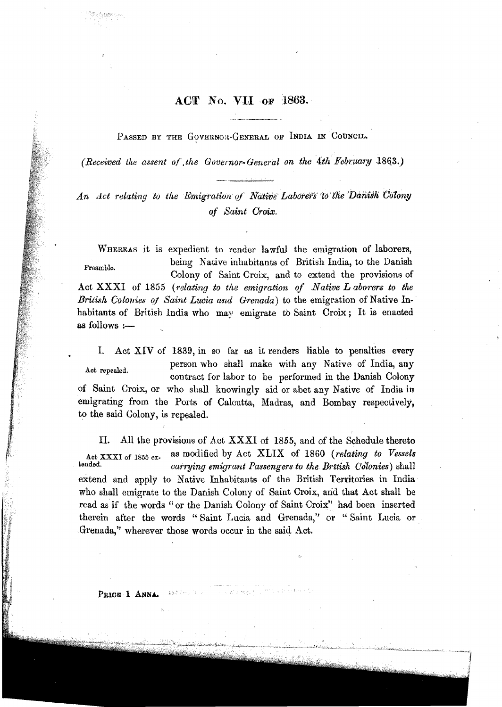## ACT No. VII or 1863.

PASSED BY THE GOVERNOR-GENERAL OF INDIA IN COUNCIL.

(Received the assent of the Governor-General on the 4th February 1863.)

An Act relating to the Emigration of Native Laborers to the Danish Colony of Saint Croix.

WHEREAS it is expedient to render lawful the emigration of laborers, being Native inhabitants of British India, to the Danish Preamble. Colony of Saint Croix, and to extend the provisions of Act XXXI of 1855 (relating to the emigration of Native L aborers to the British Colonies of Saint Lucia and Grenada) to the emigration of Native Inhabitants of British India who may emigrate to Saint Croix; It is enacted as follows :-

Act XIV of 1839, in so far as it renders liable to penalties every L. person who shall make with any Native of India, any Act repealed. contract for labor to be performed in the Danish Colony of Saint Croix, or who shall knowingly aid or abet any Native of India in emigrating from the Ports of Calcutta, Madras, and Bombay respectively, to the said Colony, is repealed.

All the provisions of Act XXXI of 1855, and of the Schedule thereto Π. as modified by Act XLIX of 1860 (relating to Vessels Act XXXI of 1855 extended. carrying emigrant Passengers to the British Colonies) shall extend and apply to Native Inhabitants of the British Territories in India who shall emigrate to the Danish Colony of Saint Croix, and that Act shall be read as if the words "or the Danish Colony of Saint Croix" had been inserted therein after the words "Saint Lucia and Grenada," or "Saint Lucia or Grenada," wherever those words occur in the said Act.

PRICE 1 ANNA

sa.